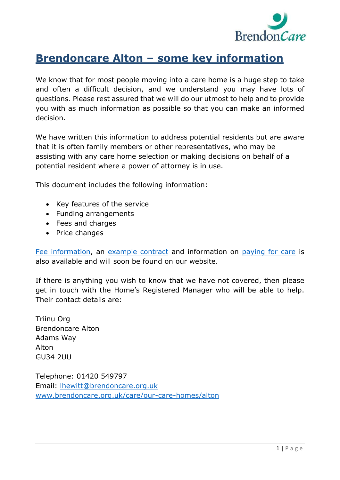

# **Brendoncare Alton – some key information**

We know that for most people moving into a care home is a huge step to take and often a difficult decision, and we understand you may have lots of questions. Please rest assured that we will do our utmost to help and to provide you with as much information as possible so that you can make an informed decision.

We have written this information to address potential residents but are aware that it is often family members or other representatives, who may be assisting with any care home selection or making decisions on behalf of a potential resident where a power of attorney is in use.

This document includes the following information:

- Key features of the service
- Funding arrangements
- Fees and charges
- Price changes

Fee [information,](https://www.brendoncare.org.uk/wp-content/uploads/2021/04/Alton-fees-and-other-charges-2021-22-1.pdf) an [example](https://www.brendoncare.org.uk/wp-content/uploads/2020/01/EXAMPLE-Self-funded-Permanent-NURSING-contract.pdf) contract and information on [paying for care](https://www.brendoncare.org.uk/paying-for-care) is also available and will soon be found on our website.

If there is anything you wish to know that we have not covered, then please get in touch with the Home's Registered Manager who will be able to help. Their contact details are:

Triinu Org Brendoncare Alton Adams Way Alton GU34 2UU

Telephone: 01420 549797 Email: [lhewitt@brendoncare.org.uk](mailto:lhewitt@brendoncare.org.uk) [www.brendoncare.org.uk/care/our-care-homes/alton](http://www.brendoncare.org.uk/care/our-care-homes/alton)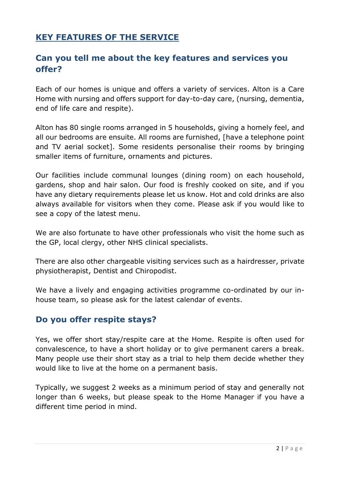# **KEY FEATURES OF THE SERVICE**

# **Can you tell me about the key features and services you offer?**

Each of our homes is unique and offers a variety of services. Alton is a Care Home with nursing and offers support for day-to-day care, (nursing, dementia, end of life care and respite).

Alton has 80 single rooms arranged in 5 households, giving a homely feel, and all our bedrooms are ensuite. All rooms are furnished, [have a telephone point and TV aerial socket]. Some residents personalise their rooms by bringing smaller items of furniture, ornaments and pictures.

Our facilities include communal lounges (dining room) on each household, gardens, shop and hair salon. Our food is freshly cooked on site, and if you have any dietary requirements please let us know. Hot and cold drinks are also always available for visitors when they come. Please ask if you would like to see a copy of the latest menu.

We are also fortunate to have other professionals who visit the home such as the GP, local clergy, other NHS clinical specialists.

There are also other chargeable visiting services such as a hairdresser, private physiotherapist, Dentist and Chiropodist.

We have a lively and engaging activities programme co-ordinated by our inhouse team, so please ask for the latest calendar of events.

#### **Do you offer respite stays?**

Yes, we offer short stay/respite care at the Home. Respite is often used for convalescence, to have a short holiday or to give permanent carers a break. Many people use their short stay as a trial to help them decide whether they would like to live at the home on a permanent basis.

Typically, we suggest 2 weeks as a minimum period of stay and generally not longer than 6 weeks, but please speak to the Home Manager if you have a different time period in mind.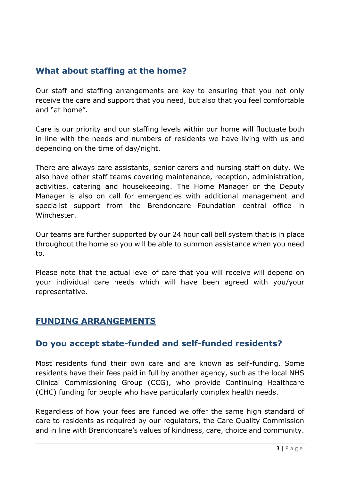#### **What about staffing at the home?**

Our staff and staffing arrangements are key to ensuring that you not only receive the care and support that you need, but also that you feel comfortable and "at home".

Care is our priority and our staffing levels within our home will fluctuate both in line with the needs and numbers of residents we have living with us and depending on the time of day/night.

There are always care assistants, senior carers and nursing staff on duty. We also have other staff teams covering maintenance, reception, administration, activities, catering and housekeeping. The Home Manager or the Deputy Manager is also on call for emergencies with additional management and specialist support from the Brendoncare Foundation central office in Winchester.

Our teams are further supported by our 24 hour call bell system that is in place throughout the home so you will be able to summon assistance when you need to.

Please note that the actual level of care that you will receive will depend on your individual care needs which will have been agreed with you/your representative.

#### **FUNDING ARRANGEMENTS**

#### **Do you accept state-funded and self-funded residents?**

Most residents fund their own care and are known as self-funding. Some residents have their fees paid in full by another agency, such as the local NHS Clinical Commissioning Group (CCG), who provide Continuing Healthcare (CHC) funding for people who have particularly complex health needs.

Regardless of how your fees are funded we offer the same high standard of care to residents as required by our regulators, the Care Quality Commission and in line with Brendoncare's values of kindness, care, choice and community.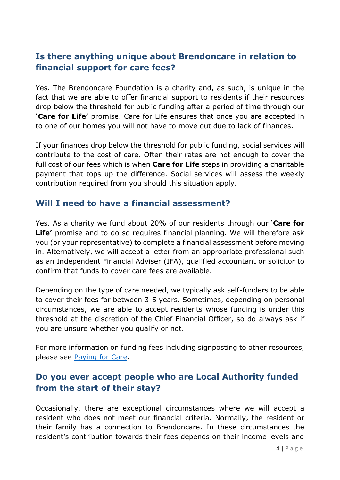# **Is there anything unique about Brendoncare in relation to financial support for care fees?**

Yes. The Brendoncare Foundation is a charity and, as such, is unique in the fact that we are able to offer financial support to residents if their resources drop below the threshold for public funding after a period of time through our **'Care for Life'** promise. Care for Life ensures that once you are accepted in to one of our homes you will not have to move out due to lack of finances.

If your finances drop below the threshold for public funding, social services will contribute to the cost of care. Often their rates are not enough to cover the full cost of our fees which is when **Care for Life** steps in providing a charitable payment that tops up the difference. Social services will assess the weekly contribution required from you should this situation apply.

#### **Will I need to have a financial assessment?**

Yes. As a charity we fund about 20% of our residents through our '**Care for Life'** promise and to do so requires financial planning. We will therefore ask you (or your representative) to complete a financial assessment before moving in. Alternatively, we will accept a letter from an appropriate professional such as an Independent Financial Adviser (IFA), qualified accountant or solicitor to confirm that funds to cover care fees are available.

Depending on the type of care needed, we typically ask self-funders to be able to cover their fees for between 3-5 years. Sometimes, depending on personal circumstances, we are able to accept residents whose funding is under this threshold at the discretion of the Chief Financial Officer, so do always ask if you are unsure whether you qualify or not.

For more information on funding fees including signposting to other resources, please see [Paying for Care.](https://www.brendoncare.org.uk/paying-for-care)

# **Do you ever accept people who are Local Authority funded from the start of their stay?**

Occasionally, there are exceptional circumstances where we will accept a resident who does not meet our financial criteria. Normally, the resident or their family has a connection to Brendoncare. In these circumstances the resident's contribution towards their fees depends on their income levels and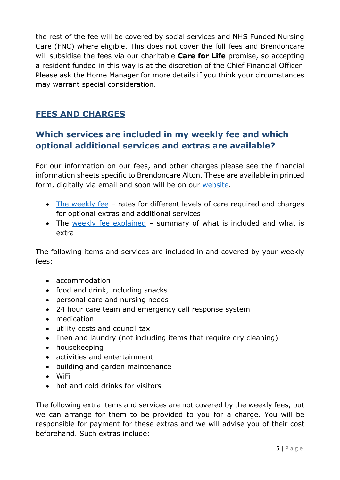the rest of the fee will be covered by social services and NHS Funded Nursing Care (FNC) where eligible. This does not cover the full fees and Brendoncare will subsidise the fees via our charitable **Care for Life** promise, so accepting a resident funded in this way is at the discretion of the Chief Financial Officer. Please ask the Home Manager for more details if you think your circumstances may warrant special consideration.

# **FEES AND CHARGES**

# **Which services are included in my weekly fee and which optional additional services and extras are available?**

For our information on our fees, and other charges please see the financial information sheets specific to Brendoncare Alton. These are available in printed form, digitally via email and soon will be on our [website.](https://www.brendoncare.org.uk/)

- [The weekly fee](https://www.brendoncare.org.uk/wp-content/uploads/2021/04/Alton-fees-and-other-charges-2021-22-1.pdf) rates for different levels of care required and charges for optional extras and additional services
- The [weekly fee explained](https://www.brendoncare.org.uk/wp-content/uploads/2020/02/Weekly-fee-explained-Alton-1.pdf) summary of what is included and what is extra

The following items and services are included in and covered by your weekly fees:

- accommodation
- food and drink, including snacks
- personal care and nursing needs
- 24 hour care team and emergency call response system
- medication
- utility costs and council tax
- linen and laundry (not including items that require dry cleaning)
- housekeeping
- activities and entertainment
- building and garden maintenance
- WiFi
- hot and cold drinks for visitors

The following extra items and services are not covered by the weekly fees, but we can arrange for them to be provided to you for a charge. You will be responsible for payment for these extras and we will advise you of their cost beforehand. Such extras include: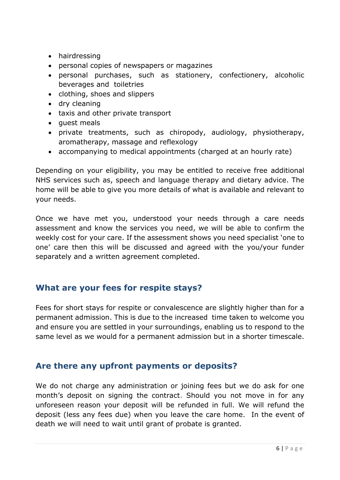- hairdressing
- personal copies of newspapers or magazines
- personal purchases, such as stationery, confectionery, alcoholic beverages and toiletries
- clothing, shoes and slippers
- dry cleaning
- taxis and other private transport
- quest meals
- private treatments, such as chiropody, audiology, physiotherapy, aromatherapy, massage and reflexology
- accompanying to medical appointments (charged at an hourly rate)

Depending on your eligibility, you may be entitled to receive free additional NHS services such as, speech and language therapy and dietary advice. The home will be able to give you more details of what is available and relevant to your needs.

Once we have met you, understood your needs through a care needs assessment and know the services you need, we will be able to confirm the weekly cost for your care. If the assessment shows you need specialist 'one to one' care then this will be discussed and agreed with the you/your funder separately and a written agreement completed.

# **What are your fees for respite stays?**

Fees for short stays for respite or convalescence are slightly higher than for a permanent admission. This is due to the increased time taken to welcome you and ensure you are settled in your surroundings, enabling us to respond to the same level as we would for a permanent admission but in a shorter timescale.

# **Are there any upfront payments or deposits?**

We do not charge any administration or joining fees but we do ask for one month's deposit on signing the contract. Should you not move in for any unforeseen reason your deposit will be refunded in full. We will refund the deposit (less any fees due) when you leave the care home. In the event of death we will need to wait until grant of probate is granted.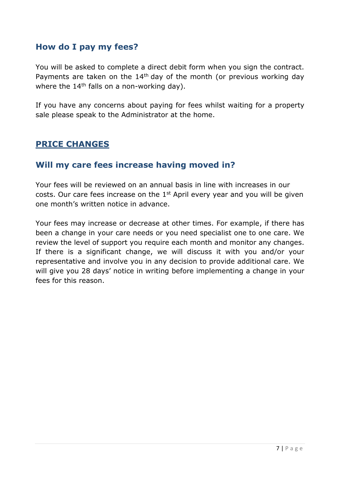#### **How do I pay my fees?**

You will be asked to complete a direct debit form when you sign the contract. Payments are taken on the  $14<sup>th</sup>$  day of the month (or previous working day where the  $14<sup>th</sup>$  falls on a non-working day).

If you have any concerns about paying for fees whilst waiting for a property sale please speak to the Administrator at the home.

#### **PRICE CHANGES**

#### **Will my care fees increase having moved in?**

Your fees will be reviewed on an annual basis in line with increases in our costs. Our care fees increase on the 1st April every year and you will be given one month's written notice in advance.

Your fees may increase or decrease at other times. For example, if there has been a change in your care needs or you need specialist one to one care. We review the level of support you require each month and monitor any changes. If there is a significant change, we will discuss it with you and/or your representative and involve you in any decision to provide additional care. We will give you 28 days' notice in writing before implementing a change in your fees for this reason.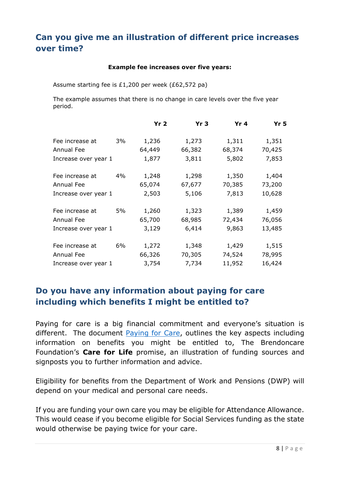# **Can you give me an illustration of different price increases over time?**

#### **Example fee increases over five years:**

Assume starting fee is £1,200 per week (£62,572 pa)

The example assumes that there is no change in care levels over the five year period.

|                      |    | Yr <sub>2</sub> | Yr <sub>3</sub> | Yr <sub>4</sub> | Yr <sub>5</sub> |
|----------------------|----|-----------------|-----------------|-----------------|-----------------|
| Fee increase at      | 3% | 1,236           | 1,273           | 1,311           | 1,351           |
| Annual Fee           |    | 64,449          | 66,382          | 68,374          | 70,425          |
| Increase over year 1 |    | 1,877           | 3,811           | 5,802           | 7,853           |
| Fee increase at      | 4% | 1,248           | 1,298           | 1,350           | 1,404           |
| Annual Fee           |    | 65,074          | 67,677          | 70,385          | 73,200          |
| Increase over year 1 |    | 2,503           | 5,106           | 7,813           | 10,628          |
| Fee increase at      | 5% | 1,260           | 1,323           | 1,389           | 1,459           |
| Annual Fee           |    | 65,700          | 68,985          | 72,434          | 76,056          |
| Increase over year 1 |    | 3,129           | 6,414           | 9,863           | 13,485          |
| Fee increase at      | 6% | 1,272           | 1,348           | 1,429           | 1,515           |
| Annual Fee           |    | 66,326          | 70,305          | 74,524          | 78,995          |
| Increase over year 1 |    | 3,754           | 7,734           | 11,952          | 16,424          |

#### **Do you have any information about paying for care including which benefits I might be entitled to?**

Paying for care is a big financial commitment and everyone's situation is different. The document [Paying for Care,](https://www.brendoncare.org.uk/paying-for-care) outlines the key aspects including information on benefits you might be entitled to, The Brendoncare Foundation's **Care for Life** promise, an illustration of funding sources and signposts you to further information and advice.

Eligibility for benefits from the Department of Work and Pensions (DWP) will depend on your medical and personal care needs.

If you are funding your own care you may be eligible for Attendance Allowance. This would cease if you become eligible for Social Services funding as the state would otherwise be paying twice for your care.